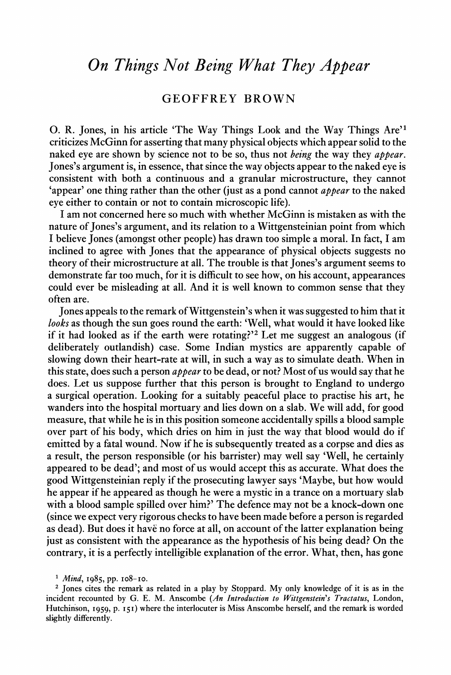## *On Things Not Being What They Appear*

## GEOFFREY BROWN

0. R. Jones, in his article 'The Way Things Look and the Way Things Are'] criticizes McGinn for asserting that many physical objects which appear solid to the naked eye are shown by science not to be so, thus not *being* the way they *appear.*  Jones's argument is, in essence, that since the way objects appear to the naked eye is consistent with both a continuous and a granular microstructure, they cannot 'appear' one thing rather than the other (just as a pond cannot *appear* to the naked eye either to contain or not to contain microscopic life).

I am not concerned here so much with whether McGinn is mistaken as with the nature of Jones's argument, and its relation to a Wittgensteinian point from which I believe Jones (amongst other people) has drawn too simple a moral. In fact, I am inclined to agree with Jones that the appearance of physical objects suggests no theory of their microstructure at all. The trouble is that Jones's argument seems to demonstrate far too much, for it is difficult to see how, on his account, appearances could ever be misleading at all. And it is well known to common sense that they often are.

Jones appeals to the remark of Wittgenstein's when it was suggested to him that it looks as though the sun goes round the earth: 'Well, what would it have looked like if it had looked as if the earth were rotating?'<sup>2</sup> Let me suggest an analogous (if deliberately outlandish) case. Some Indian mystics are apparently capable of slowing down their heart-rate at will, in such a way as to simulate death. When in this state, does such a person *appear* to be dead, or not? Most of us would say that he does. Let us suppose further that this person is brought to England to undergo a surgical operation. Looking for a suitably peaceful place to practise his art, he wanders into the hospital mortuary and lies down on a slab. We will add, for good measure, that while he is in this position someone accidentally spills a blood sample over part of his body, which dries on him in just the way that blood would do if emitted by a fatal wound. Now if he is subsequently treated as a corpse and dies as a result, the person responsible (or his barrister) may well say 'Well, he certainly appeared to be dead'; and most of us would accept this as accurate. What does the good Wittgensteinian reply if the prosecuting lawyer says 'Maybe, but how would he appear if he appeared as though he were a mystic in a trance on a mortuary slab with a blood sample spilled over him?' The defence may not be a knock-down one (since we expect very rigorous checks to have been made before a person is regarded as dead). But does it have no force at all, on account of the latter explanation being just as consistent with the appearance as the hypothesis of his being dead? On the contrary, it is a perfectly intelligible explanation of the error. What, then, has gone

<sup>&</sup>lt;sup>1</sup> *Mind*, 1985, pp. 108-10.

<sup>&</sup>lt;sup>2</sup> Jones cites the remark as related in a play by Stoppard. My only knowledge of it is as in the incident recounted by G. E. M. Anscombe *(An Introduction to Wittgenstein's Tractatus,* London, Hutchinson, 1959, p. 151) where the interlocuter is Miss Anscombe herself, and the remark is worded slightly differently.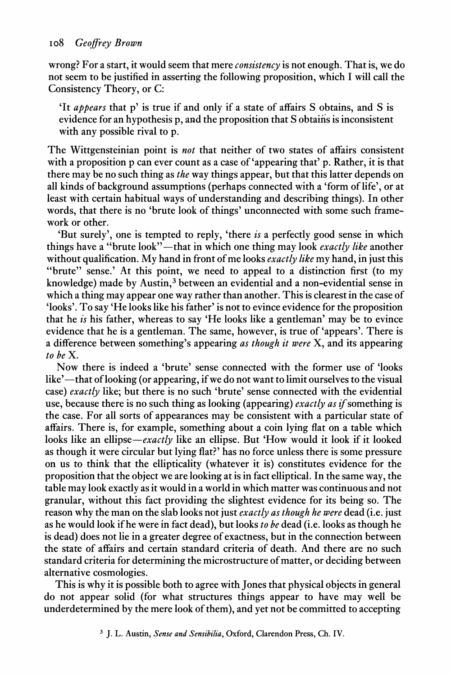wrong? For a start, it would seem that mere *consistency* is not enough. That is, we do not seem to be justified in asserting the following proposition, which I will call the Consistency Theory, or C:

'It *appears* that p' is true if and only if a state of affairs S obtains, and S is evidence for an hypothesis p, and the proposition that S obtains is inconsistent with any possible rival to p.

The Wittgensteinian point is *not* that neither of two states of affairs consistent with a proposition p can ever count as a case of 'appearing that' p. Rather, it is that there may be no such thing as *the* way things appear, but that this latter depends on all kinds of background assumptions (perhaps connected with a 'form of life', or at least with certain habitual ways of understanding and describing things). In other words, that there is no 'brute look of things' unconnected with some such framework or other.

'But surely', one is tempted to reply, 'there *is* a perfectly good sense in which things have a "brute look"—that in which one thing may look *exactly like* another without qualification. My hand in front of me looks *exactly like* my hand, in just this "brute" sense.' At this point, we need to appeal to a distinction first (to my knowledge) made by Austin,<sup>3</sup> between an evidential and a non-evidential sense in which a thing may appear one way rather than another. This is clearest in the case of 'looks'. To say 'He looks like his father' is not to evince evidence for the proposition that he *is* his father, whereas to say 'He looks like a gentleman' may be to evince evidence that he is a gentleman. The same, however, is true of 'appears'. There is a difference between something's appearing *as though it were X,* and its appearing *to be* X.

Now there is indeed a 'brute' sense connected with the former use of 'looks like'—that of looking (or appearing, if we do not want to limit ourselves to the visual case) *exactly* like; but there is no such 'brute' sense connected with the evidential use, because there is no such thing as looking (appearing) *exactly as* ifsomething is the case. For all sorts of appearances may be consistent with a particular state of affairs. There is, for example, something about a coin lying flat on a table which looks like an ellipse—exactly like an ellipse. But 'How would it look if it looked as though it were circular but lying flat?' has no force unless there is some pressure on us to think that the ellipticality (whatever it is) constitutes evidence for the proposition that the object we are looking at is in fact elliptical. In the same way, the table may look exactly as it would in a world in which matter was continuous and not granular, without this fact providing the slightest evidence for its being so. The reason why the man on the slab looks not just *exactly as though he were* dead (i.e. just as he would look if he were in fact dead), but looks *to be* dead (i.e. looks as though he is dead) does not lie in a greater degree of exactness, but in the connection between the state of affairs and certain standard criteria of death. And there are no such standard criteria for determining the microstructure of matter, or deciding between alternative cosmologies.

This is why it is possible both to agree with Jones that physical objects in general do not appear solid (for what structures things appear to have may well be underdetermined by the mere look of them), and yet not be committed to accepting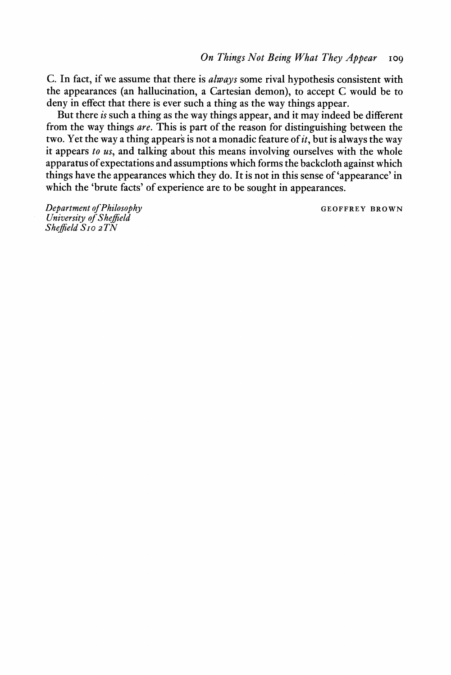C. In fact, if we assume that there is  $\frac{always}{}$  some rival hypothesis consistent with the appearances (an hallucination, a Cartesian demon), to accept C would be to deny in effect that there is ever such a thing as the way things appear.

But there is such a thing as the way things appear, and it may indeed be different from the way things are. This is part of the reason for distinguishing between the two. Yet the way a thing appears is not a monadic feature of  $it$ , but is always the way it appears to us, and talking about this means involving ourselves with the whole apparatus of expectations and assumptions which forms the backcloth against which things have the appearances which they do. It is not in this sense of 'appearance' in which the 'brute facts' of experience are to be sought in appearances.

*Department of Philosophy* GEOFFREY BROWN *University of Sheffield SheBeld Sro* **2** *TN*